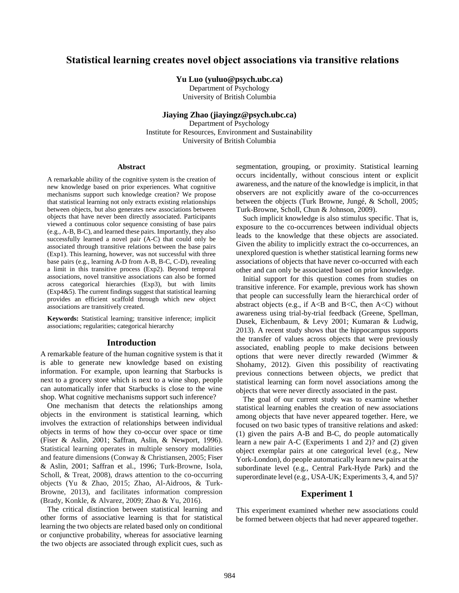# **Statistical learning creates novel object associations via transitive relations**

**Yu Luo (yuluo@psych.ubc.ca)**

Department of Psychology University of British Columbia

## **Jiaying Zhao (jiayingz@psych.ubc.ca)**

Department of Psychology Institute for Resources, Environment and Sustainability University of British Columbia

#### **Abstract**

A remarkable ability of the cognitive system is the creation of new knowledge based on prior experiences. What cognitive mechanisms support such knowledge creation? We propose that statistical learning not only extracts existing relationships between objects, but also generates new associations between objects that have never been directly associated. Participants viewed a continuous color sequence consisting of base pairs (e.g., A-B, B-C), and learned these pairs. Importantly, they also successfully learned a novel pair (A-C) that could only be associated through transitive relations between the base pairs (Exp1). This learning, however, was not successful with three base pairs (e.g., learning A-D from A-B, B-C, C-D), revealing a limit in this transitive process (Exp2). Beyond temporal associations, novel transitive associations can also be formed across categorical hierarchies (Exp3), but with limits (Exp4&5). The current findings suggest that statistical learning provides an efficient scaffold through which new object associations are transitively created.

**Keywords:** Statistical learning; transitive inference; implicit associations; regularities; categorical hierarchy

### **Introduction**

A remarkable feature of the human cognitive system is that it is able to generate new knowledge based on existing information. For example, upon learning that Starbucks is next to a grocery store which is next to a wine shop, people can automatically infer that Starbucks is close to the wine shop. What cognitive mechanisms support such inference?

One mechanism that detects the relationships among objects in the environment is statistical learning, which involves the extraction of relationships between individual objects in terms of how they co-occur over space or time (Fiser & Aslin, 2001; Saffran, Aslin, & Newport, 1996). Statistical learning operates in multiple sensory modalities and feature dimensions (Conway & Christiansen, 2005; Fiser & Aslin, 2001; Saffran et al., 1996; Turk-Browne, Isola, Scholl, & Treat, 2008), draws attention to the co-occurring objects (Yu & Zhao, 2015; Zhao, Al-Aidroos, & Turk-Browne, 2013), and facilitates information compression (Brady, Konkle, & Alvarez, 2009; Zhao & Yu, 2016).

The critical distinction between statistical learning and other forms of associative learning is that for statistical learning the two objects are related based only on conditional or conjunctive probability, whereas for associative learning the two objects are associated through explicit cues, such as segmentation, grouping, or proximity. Statistical learning occurs incidentally, without conscious intent or explicit awareness, and the nature of the knowledge is implicit, in that observers are not explicitly aware of the co-occurrences between the objects (Turk Browne, Jungé, & Scholl, 2005; Turk-Browne, Scholl, Chun & Johnson, 2009).

Such implicit knowledge is also stimulus specific. That is, exposure to the co-occurrences between individual objects leads to the knowledge that these objects are associated. Given the ability to implicitly extract the co-occurrences, an unexplored question is whether statistical learning forms new associations of objects that have never co-occurred with each other and can only be associated based on prior knowledge.

Initial support for this question comes from studies on transitive inference. For example, previous work has shown that people can successfully learn the hierarchical order of abstract objects (e.g., if  $A \triangleleft B$  and  $B \triangleleft C$ , then  $A \triangleleft C$ ) without awareness using trial-by-trial feedback (Greene, Spellman, Dusek, Eichenbaum, & Levy 2001; Kumaran & Ludwig, 2013). A recent study shows that the hippocampus supports the transfer of values across objects that were previously associated, enabling people to make decisions between options that were never directly rewarded (Wimmer & Shohamy, 2012). Given this possibility of reactivating previous connections between objects, we predict that statistical learning can form novel associations among the objects that were never directly associated in the past.

The goal of our current study was to examine whether statistical learning enables the creation of new associations among objects that have never appeared together. Here, we focused on two basic types of transitive relations and asked: (1) given the pairs A-B and B-C, do people automatically learn a new pair A-C (Experiments 1 and 2)? and (2) given object exemplar pairs at one categorical level (e.g., New York-London), do people automatically learn new pairs at the subordinate level (e.g., Central Park-Hyde Park) and the superordinate level (e.g., USA-UK; Experiments 3, 4, and 5)?

#### **Experiment 1**

This experiment examined whether new associations could be formed between objects that had never appeared together.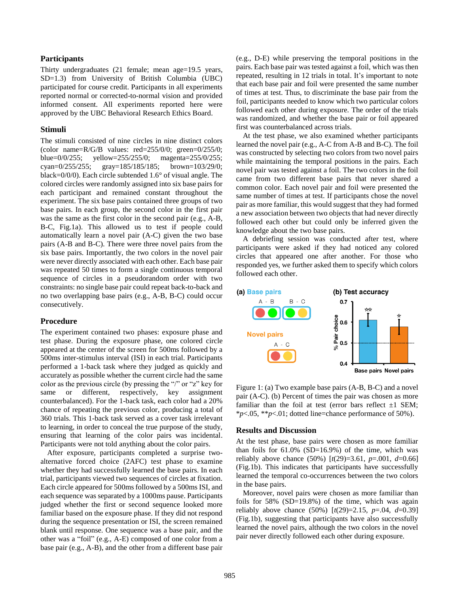#### **Participants**

Thirty undergraduates (21 female; mean age=19.5 years, SD=1.3) from University of British Columbia (UBC) participated for course credit. Participants in all experiments reported normal or corrected-to-normal vision and provided informed consent. All experiments reported here were approved by the UBC Behavioral Research Ethics Board.

#### **Stimuli**

The stimuli consisted of nine circles in nine distinct colors (color name= $R/G/B$  values:  $red=255/0/0$ ; green= $0/255/0$ ; blue=0/0/255; yellow=255/255/0; magenta=255/0/255; cyan=0/255/255; gray=185/185/185; brown=103/29/0; black=0/0/0). Each circle subtended 1.6° of visual angle. The colored circles were randomly assigned into six base pairs for each participant and remained constant throughout the experiment. The six base pairs contained three groups of two base pairs. In each group, the second color in the first pair was the same as the first color in the second pair (e.g., A-B, B-C, Fig.1a). This allowed us to test if people could automatically learn a novel pair (A-C) given the two base pairs (A-B and B-C). There were three novel pairs from the six base pairs. Importantly, the two colors in the novel pair were never directly associated with each other. Each base pair was repeated 50 times to form a single continuous temporal sequence of circles in a pseudorandom order with two constraints: no single base pair could repeat back-to-back and no two overlapping base pairs (e.g., A-B, B-C) could occur consecutively.

#### **Procedure**

The experiment contained two phases: exposure phase and test phase. During the exposure phase, one colored circle appeared at the center of the screen for 500ms followed by a 500ms inter-stimulus interval (ISI) in each trial. Participants performed a 1-back task where they judged as quickly and accurately as possible whether the current circle had the same color as the previous circle (by pressing the "/" or "z" key for same or different, respectively, key assignment counterbalanced). For the 1-back task, each color had a 20% chance of repeating the previous color, producing a total of 360 trials. This 1-back task served as a cover task irrelevant to learning, in order to conceal the true purpose of the study, ensuring that learning of the color pairs was incidental. Participants were not told anything about the color pairs.

After exposure, participants completed a surprise twoalternative forced choice (2AFC) test phase to examine whether they had successfully learned the base pairs. In each trial, participants viewed two sequences of circles at fixation. Each circle appeared for 500ms followed by a 500ms ISI, and each sequence was separated by a 1000ms pause. Participants judged whether the first or second sequence looked more familiar based on the exposure phase. If they did not respond during the sequence presentation or ISI, the screen remained blank until response. One sequence was a base pair, and the other was a "foil" (e.g., A-E) composed of one color from a base pair (e.g., A-B), and the other from a different base pair (e.g., D-E) while preserving the temporal positions in the pairs. Each base pair was tested against a foil, which was then repeated, resulting in 12 trials in total. It's important to note that each base pair and foil were presented the same number of times at test. Thus, to discriminate the base pair from the foil, participants needed to know which two particular colors followed each other during exposure. The order of the trials was randomized, and whether the base pair or foil appeared first was counterbalanced across trials.

At the test phase, we also examined whether participants learned the novel pair (e.g., A-C from A-B and B-C). The foil was constructed by selecting two colors from two novel pairs while maintaining the temporal positions in the pairs. Each novel pair was tested against a foil. The two colors in the foil came from two different base pairs that never shared a common color. Each novel pair and foil were presented the same number of times at test. If participants chose the novel pair as more familiar, this would suggest that they had formed a new association between two objects that had never directly followed each other but could only be inferred given the knowledge about the two base pairs.

A debriefing session was conducted after test, where participants were asked if they had noticed any colored circles that appeared one after another. For those who responded yes, we further asked them to specify which colors followed each other.



Figure 1: (a) Two example base pairs (A-B, B-C) and a novel pair (A-C). (b) Percent of times the pair was chosen as more familiar than the foil at test (error bars reflect  $\pm 1$  SEM; \**p*<.05, \*\**p*<.01; dotted line=chance performance of 50%).

#### **Results and Discussion**

At the test phase, base pairs were chosen as more familiar than foils for  $61.0\%$  (SD=16.9%) of the time, which was reliably above chance (50%) [*t*(29)=3.61, *p*=.001, *d*=0.66] (Fig.1b). This indicates that participants have successfully learned the temporal co-occurrences between the two colors in the base pairs.

Moreover, novel pairs were chosen as more familiar than foils for 58% (SD=19.8%) of the time, which was again reliably above chance (50%) [*t*(29)=2.15, *p*=.04, *d*=0.39] (Fig.1b), suggesting that participants have also successfully learned the novel pairs, although the two colors in the novel pair never directly followed each other during exposure.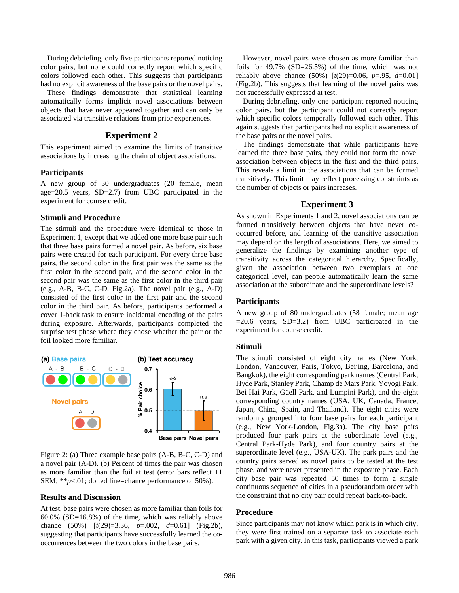During debriefing, only five participants reported noticing color pairs, but none could correctly report which specific colors followed each other. This suggests that participants had no explicit awareness of the base pairs or the novel pairs.

These findings demonstrate that statistical learning automatically forms implicit novel associations between objects that have never appeared together and can only be associated via transitive relations from prior experiences.

## **Experiment 2**

This experiment aimed to examine the limits of transitive associations by increasing the chain of object associations.

## **Participants**

A new group of 30 undergraduates (20 female, mean age=20.5 years, SD=2.7) from UBC participated in the experiment for course credit.

## **Stimuli and Procedure**

The stimuli and the procedure were identical to those in Experiment 1, except that we added one more base pair such that three base pairs formed a novel pair. As before, six base pairs were created for each participant. For every three base pairs, the second color in the first pair was the same as the first color in the second pair, and the second color in the second pair was the same as the first color in the third pair (e.g., A-B, B-C, C-D, Fig.2a). The novel pair (e.g., A-D) consisted of the first color in the first pair and the second color in the third pair. As before, participants performed a cover 1-back task to ensure incidental encoding of the pairs during exposure. Afterwards, participants completed the surprise test phase where they chose whether the pair or the foil looked more familiar.



Figure 2: (a) Three example base pairs (A-B, B-C, C-D) and a novel pair (A-D). (b) Percent of times the pair was chosen as more familiar than the foil at test (error bars reflect  $\pm 1$ ) SEM; \*\**p*<.01; dotted line=chance performance of 50%).

#### **Results and Discussion**

At test, base pairs were chosen as more familiar than foils for 60.0% (SD=16.8%) of the time, which was reliably above chance (50%) [*t*(29)=3.36, *p*=.002, *d*=0.61] (Fig.2b), suggesting that participants have successfully learned the cooccurrences between the two colors in the base pairs.

However, novel pairs were chosen as more familiar than foils for 49.7% (SD=26.5%) of the time, which was not reliably above chance (50%) [*t*(29)=0.06, *p*=.95, *d*=0.01] (Fig.2b). This suggests that learning of the novel pairs was not successfully expressed at test.

During debriefing, only one participant reported noticing color pairs, but the participant could not correctly report which specific colors temporally followed each other. This again suggests that participants had no explicit awareness of the base pairs or the novel pairs.

The findings demonstrate that while participants have learned the three base pairs, they could not form the novel association between objects in the first and the third pairs. This reveals a limit in the associations that can be formed transitively. This limit may reflect processing constraints as the number of objects or pairs increases.

## **Experiment 3**

As shown in Experiments 1 and 2, novel associations can be formed transitively between objects that have never cooccurred before, and learning of the transitive association may depend on the length of associations. Here, we aimed to generalize the findings by examining another type of transitivity across the categorical hierarchy. Specifically, given the association between two exemplars at one categorical level, can people automatically learn the same association at the subordinate and the superordinate levels?

#### **Participants**

A new group of 80 undergraduates (58 female; mean age =20.6 years, SD=3.2) from UBC participated in the experiment for course credit.

## **Stimuli**

The stimuli consisted of eight city names (New York, London, Vancouver, Paris, Tokyo, Beijing, Barcelona, and Bangkok), the eight corresponding park names (Central Park, Hyde Park, Stanley Park, Champ de Mars Park, Yoyogi Park, Bei Hai Park, Güell Park, and Lumpini Park), and the eight corresponding country names (USA, UK, Canada, France, Japan, China, Spain, and Thailand). The eight cities were randomly grouped into four base pairs for each participant (e.g., New York-London, Fig.3a). The city base pairs produced four park pairs at the subordinate level (e.g., Central Park-Hyde Park), and four country pairs at the superordinate level (e.g., USA-UK). The park pairs and the country pairs served as novel pairs to be tested at the test phase, and were never presented in the exposure phase. Each city base pair was repeated 50 times to form a single continuous sequence of cities in a pseudorandom order with the constraint that no city pair could repeat back-to-back.

### **Procedure**

Since participants may not know which park is in which city, they were first trained on a separate task to associate each park with a given city. In this task, participants viewed a park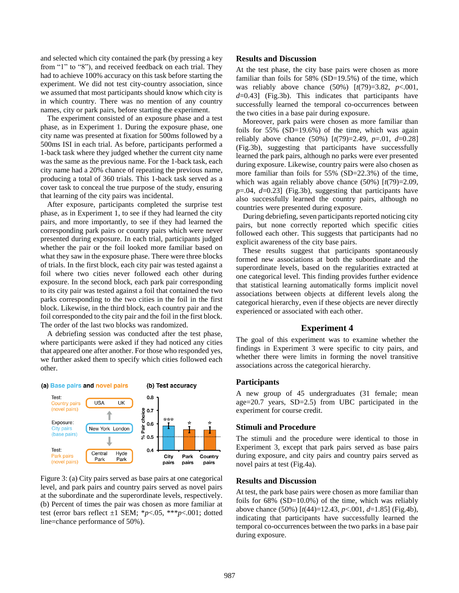and selected which city contained the park (by pressing a key from "1" to "8"), and received feedback on each trial. They had to achieve 100% accuracy on this task before starting the experiment. We did not test city-country association, since we assumed that most participants should know which city is in which country. There was no mention of any country names, city or park pairs, before starting the experiment.

The experiment consisted of an exposure phase and a test phase, as in Experiment 1. During the exposure phase, one city name was presented at fixation for 500ms followed by a 500ms ISI in each trial. As before, participants performed a 1-back task where they judged whether the current city name was the same as the previous name. For the 1-back task, each city name had a 20% chance of repeating the previous name, producing a total of 360 trials. This 1-back task served as a cover task to conceal the true purpose of the study, ensuring that learning of the city pairs was incidental.

After exposure, participants completed the surprise test phase, as in Experiment 1, to see if they had learned the city pairs, and more importantly, to see if they had learned the corresponding park pairs or country pairs which were never presented during exposure. In each trial, participants judged whether the pair or the foil looked more familiar based on what they saw in the exposure phase. There were three blocks of trials. In the first block, each city pair was tested against a foil where two cities never followed each other during exposure. In the second block, each park pair corresponding to its city pair was tested against a foil that contained the two parks corresponding to the two cities in the foil in the first block. Likewise, in the third block, each country pair and the foil corresponded to the city pair and the foil in the first block. The order of the last two blocks was randomized.

A debriefing session was conducted after the test phase, where participants were asked if they had noticed any cities that appeared one after another. For those who responded yes, we further asked them to specify which cities followed each other.

(b) Test accuracy

#### (a) Base pairs and novel pairs



Figure 3: (a) City pairs served as base pairs at one categorical level, and park pairs and country pairs served as novel pairs at the subordinate and the superordinate levels, respectively. (b) Percent of times the pair was chosen as more familiar at test (error bars reflect ±1 SEM; \**p*<.05, \*\*\**p*<.001; dotted line=chance performance of 50%).

#### **Results and Discussion**

At the test phase, the city base pairs were chosen as more familiar than foils for 58% (SD=19.5%) of the time, which was reliably above chance (50%) [*t*(79)=3.82, *p*<.001, *d*=0.43] (Fig.3b). This indicates that participants have successfully learned the temporal co-occurrences between the two cities in a base pair during exposure.

Moreover, park pairs were chosen as more familiar than foils for 55% (SD=19.6%) of the time, which was again reliably above chance (50%) [*t*(79)=2.49, *p*=.01, *d*=0.28] (Fig.3b), suggesting that participants have successfully learned the park pairs, although no parks were ever presented during exposure. Likewise, country pairs were also chosen as more familiar than foils for 55% (SD=22.3%) of the time, which was again reliably above chance (50%) [*t*(79)=2.09, *p*=.04, *d*=0.23] (Fig.3b), suggesting that participants have also successfully learned the country pairs, although no countries were presented during exposure.

During debriefing, seven participants reported noticing city pairs, but none correctly reported which specific cities followed each other. This suggests that participants had no explicit awareness of the city base pairs.

These results suggest that participants spontaneously formed new associations at both the subordinate and the superordinate levels, based on the regularities extracted at one categorical level. This finding provides further evidence that statistical learning automatically forms implicit novel associations between objects at different levels along the categorical hierarchy, even if these objects are never directly experienced or associated with each other.

#### **Experiment 4**

The goal of this experiment was to examine whether the findings in Experiment 3 were specific to city pairs, and whether there were limits in forming the novel transitive associations across the categorical hierarchy.

#### **Participants**

A new group of 45 undergraduates (31 female; mean age=20.7 years, SD=2.5) from UBC participated in the experiment for course credit.

### **Stimuli and Procedure**

The stimuli and the procedure were identical to those in Experiment 3, except that park pairs served as base pairs during exposure, and city pairs and country pairs served as novel pairs at test (Fig.4a).

### **Results and Discussion**

At test, the park base pairs were chosen as more familiar than foils for 68% (SD=10.0%) of the time, which was reliably above chance (50%) [*t*(44)=12.43, *p*<.001, *d*=1.85] (Fig.4b), indicating that participants have successfully learned the temporal co-occurrences between the two parks in a base pair during exposure.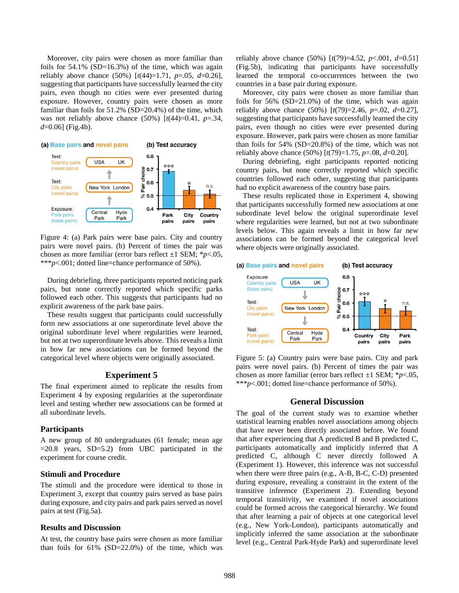Moreover, city pairs were chosen as more familiar than foils for  $54.1\%$  (SD=16.3%) of the time, which was again reliably above chance (50%) [*t*(44)=1.71, *p*=.05, *d*=0.26], suggesting that participants have successfully learned the city pairs, even though no cities were ever presented during exposure. However, country pairs were chosen as more familiar than foils for 51.2% (SD=20.4%) of the time, which was not reliably above chance  $(50\%)$  [ $t(44) = 0.41$ ,  $p = .34$ , *d*=0.06] (Fig.4b).



Figure 4: (a) Park pairs were base pairs. City and country pairs were novel pairs. (b) Percent of times the pair was chosen as more familiar (error bars reflect ±1 SEM; \**p*<.05, \*\*\**p*<.001; dotted line=chance performance of 50%).

During debriefing, three participants reported noticing park pairs, but none correctly reported which specific parks followed each other. This suggests that participants had no explicit awareness of the park base pairs.

These results suggest that participants could successfully form new associations at one superordinate level above the original subordinate level where regularities were learned, but not at two superordinate levels above. This reveals a limit in how far new associations can be formed beyond the categorical level where objects were originally associated.

## **Experiment 5**

The final experiment aimed to replicate the results from Experiment 4 by exposing regularities at the superordinate level and testing whether new associations can be formed at all subordinate levels.

#### **Participants**

A new group of 80 undergraduates (61 female; mean age  $=20.8$  years, SD $=5.2$ ) from UBC participated in the experiment for course credit.

#### **Stimuli and Procedure**

The stimuli and the procedure were identical to those in Experiment 3, except that country pairs served as base pairs during exposure, and city pairs and park pairs served as novel pairs at test (Fig.5a).

### **Results and Discussion**

At test, the country base pairs were chosen as more familiar than foils for  $61\%$  (SD=22.0%) of the time, which was reliably above chance (50%) [*t*(79)=4.52, *p*<.001, *d*=0.51] (Fig.5b), indicating that participants have successfully learned the temporal co-occurrences between the two countries in a base pair during exposure.

Moreover, city pairs were chosen as more familiar than foils for 56% (SD=21.0%) of the time, which was again reliably above chance (50%) [*t*(79)=2.46, *p*=.02, *d*=0.27], suggesting that participants have successfully learned the city pairs, even though no cities were ever presented during exposure. However, park pairs were chosen as more familiar than foils for 54% (SD=20.8%) of the time, which was not reliably above chance (50%) [*t*(79)=1.75, *p*=.08, *d*=0.20].

During debriefing, eight participants reported noticing country pairs, but none correctly reported which specific countries followed each other, suggesting that participants had no explicit awareness of the country base pairs.

These results replicated those in Experiment 4, showing that participants successfully formed new associations at one subordinate level below the original superordinate level where regularities were learned, but not at two subordinate levels below. This again reveals a limit in how far new associations can be formed beyond the categorical level where objects were originally associated.



Figure 5: (a) Country pairs were base pairs. City and park pairs were novel pairs. (b) Percent of times the pair was chosen as more familiar (error bars reflect ±1 SEM; \**p*<.05, \*\*\**p*<.001; dotted line=chance performance of 50%).

#### **General Discussion**

The goal of the current study was to examine whether statistical learning enables novel associations among objects that have never been directly associated before. We found that after experiencing that A predicted B and B predicted C, participants automatically and implicitly inferred that A predicted C, although C never directly followed A (Experiment 1). However, this inference was not successful when there were three pairs (e.g., A-B, B-C, C-D) presented during exposure, revealing a constraint in the extent of the transitive inference (Experiment 2). Extending beyond temporal transitivity, we examined if novel associations could be formed across the categorical hierarchy. We found that after learning a pair of objects at one categorical level (e.g., New York-London), participants automatically and implicitly inferred the same association at the subordinate level (e.g., Central Park-Hyde Park) and superordinate level